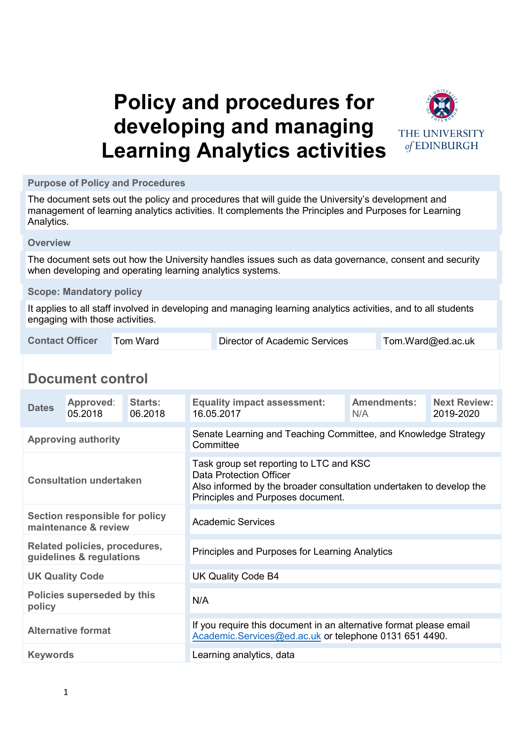# **Policy and procedures for developing and managing Learning Analytics activities**



**Purpose of Policy and Procedures**

The document sets out the policy and procedures that will guide the University's development and management of learning analytics activities. It complements the Principles and Purposes for Learning Analytics.

**Overview**

The document sets out how the University handles issues such as data governance, consent and security when developing and operating learning analytics systems.

#### **Scope: Mandatory policy**

It applies to all staff involved in developing and managing learning analytics activities, and to all students engaging with those activities.

| <b>Contact Officer</b><br>Tom Ward<br>Director of Academic Services | Tom.Ward@ed.ac.uk |
|---------------------------------------------------------------------|-------------------|
|---------------------------------------------------------------------|-------------------|

## **Document control**

| <b>Dates</b>                                                  | Approved:<br>05.2018 | Starts:<br>06.2018 | <b>Equality impact assessment:</b><br>16.05.2017                                                                                                                               | <b>Amendments:</b><br>N/A | <b>Next Review:</b><br>2019-2020 |  |  |
|---------------------------------------------------------------|----------------------|--------------------|--------------------------------------------------------------------------------------------------------------------------------------------------------------------------------|---------------------------|----------------------------------|--|--|
| <b>Approving authority</b>                                    |                      |                    | Senate Learning and Teaching Committee, and Knowledge Strategy<br>Committee                                                                                                    |                           |                                  |  |  |
| <b>Consultation undertaken</b>                                |                      |                    | Task group set reporting to LTC and KSC<br>Data Protection Officer<br>Also informed by the broader consultation undertaken to develop the<br>Principles and Purposes document. |                           |                                  |  |  |
| <b>Section responsible for policy</b><br>maintenance & review |                      |                    | <b>Academic Services</b>                                                                                                                                                       |                           |                                  |  |  |
| Related policies, procedures,<br>guidelines & regulations     |                      |                    | Principles and Purposes for Learning Analytics                                                                                                                                 |                           |                                  |  |  |
| <b>UK Quality Code</b>                                        |                      |                    | UK Quality Code B4                                                                                                                                                             |                           |                                  |  |  |
| <b>Policies superseded by this</b><br>policy                  |                      |                    | N/A                                                                                                                                                                            |                           |                                  |  |  |
| <b>Alternative format</b>                                     |                      |                    | If you require this document in an alternative format please email<br>Academic.Services@ed.ac.uk or telephone 0131 651 4490.                                                   |                           |                                  |  |  |
| <b>Keywords</b>                                               |                      |                    | Learning analytics, data                                                                                                                                                       |                           |                                  |  |  |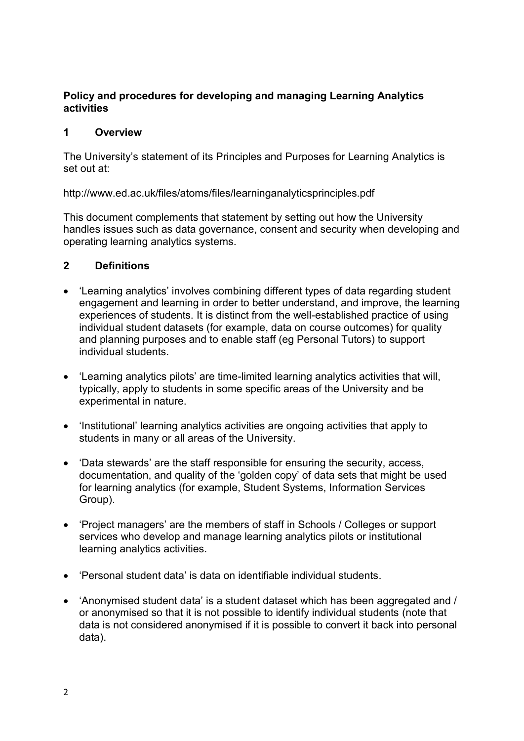## **Policy and procedures for developing and managing Learning Analytics activities**

## **1 Overview**

The University's statement of its Principles and Purposes for Learning Analytics is set out at:

http://www.ed.ac.uk/files/atoms/files/learninganalyticsprinciples.pdf

This document complements that statement by setting out how the University handles issues such as data governance, consent and security when developing and operating learning analytics systems.

## **2 Definitions**

- 'Learning analytics' involves combining different types of data regarding student engagement and learning in order to better understand, and improve, the learning experiences of students. It is distinct from the well-established practice of using individual student datasets (for example, data on course outcomes) for quality and planning purposes and to enable staff (eg Personal Tutors) to support individual students.
- 'Learning analytics pilots' are time-limited learning analytics activities that will, typically, apply to students in some specific areas of the University and be experimental in nature.
- 'Institutional' learning analytics activities are ongoing activities that apply to students in many or all areas of the University.
- 'Data stewards' are the staff responsible for ensuring the security, access, documentation, and quality of the 'golden copy' of data sets that might be used for learning analytics (for example, Student Systems, Information Services Group).
- 'Project managers' are the members of staff in Schools / Colleges or support services who develop and manage learning analytics pilots or institutional learning analytics activities.
- 'Personal student data' is data on identifiable individual students.
- 'Anonymised student data' is a student dataset which has been aggregated and / or anonymised so that it is not possible to identify individual students (note that data is not considered anonymised if it is possible to convert it back into personal data).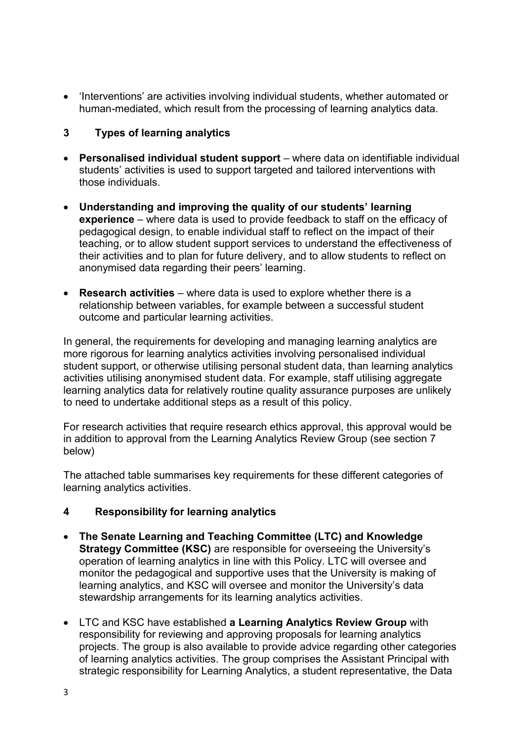'Interventions' are activities involving individual students, whether automated or human-mediated, which result from the processing of learning analytics data.

## **3 Types of learning analytics**

- **Personalised individual student support** where data on identifiable individual students' activities is used to support targeted and tailored interventions with those individuals.
- **Understanding and improving the quality of our students' learning experience** – where data is used to provide feedback to staff on the efficacy of pedagogical design, to enable individual staff to reflect on the impact of their teaching, or to allow student support services to understand the effectiveness of their activities and to plan for future delivery, and to allow students to reflect on anonymised data regarding their peers' learning.
- **Research activities** where data is used to explore whether there is a relationship between variables, for example between a successful student outcome and particular learning activities.

In general, the requirements for developing and managing learning analytics are more rigorous for learning analytics activities involving personalised individual student support, or otherwise utilising personal student data, than learning analytics activities utilising anonymised student data. For example, staff utilising aggregate learning analytics data for relatively routine quality assurance purposes are unlikely to need to undertake additional steps as a result of this policy.

For research activities that require research ethics approval, this approval would be in addition to approval from the Learning Analytics Review Group (see section 7 below)

The attached table summarises key requirements for these different categories of learning analytics activities.

## **4 Responsibility for learning analytics**

- **The Senate Learning and Teaching Committee (LTC) and Knowledge Strategy Committee (KSC)** are responsible for overseeing the University's operation of learning analytics in line with this Policy. LTC will oversee and monitor the pedagogical and supportive uses that the University is making of learning analytics, and KSC will oversee and monitor the University's data stewardship arrangements for its learning analytics activities.
- LTC and KSC have established **a Learning Analytics Review Group** with responsibility for reviewing and approving proposals for learning analytics projects. The group is also available to provide advice regarding other categories of learning analytics activities. The group comprises the Assistant Principal with strategic responsibility for Learning Analytics, a student representative, the Data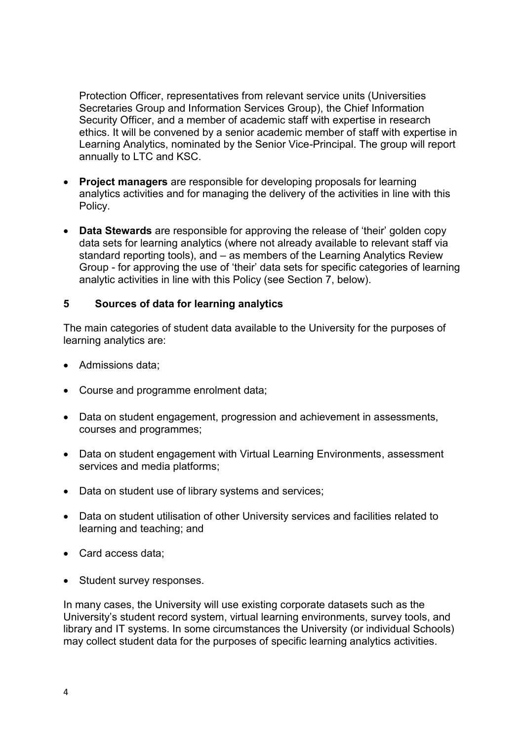Protection Officer, representatives from relevant service units (Universities Secretaries Group and Information Services Group), the Chief Information Security Officer, and a member of academic staff with expertise in research ethics. It will be convened by a senior academic member of staff with expertise in Learning Analytics, nominated by the Senior Vice-Principal. The group will report annually to LTC and KSC.

- **Project managers** are responsible for developing proposals for learning analytics activities and for managing the delivery of the activities in line with this Policy.
- **Data Stewards** are responsible for approving the release of 'their' golden copy data sets for learning analytics (where not already available to relevant staff via standard reporting tools), and – as members of the Learning Analytics Review Group - for approving the use of 'their' data sets for specific categories of learning analytic activities in line with this Policy (see Section 7, below).

## **5 Sources of data for learning analytics**

The main categories of student data available to the University for the purposes of learning analytics are:

- Admissions data:
- Course and programme enrolment data;
- Data on student engagement, progression and achievement in assessments, courses and programmes;
- Data on student engagement with Virtual Learning Environments, assessment services and media platforms;
- Data on student use of library systems and services;
- Data on student utilisation of other University services and facilities related to learning and teaching; and
- Card access data:
- Student survey responses.

In many cases, the University will use existing corporate datasets such as the University's student record system, virtual learning environments, survey tools, and library and IT systems. In some circumstances the University (or individual Schools) may collect student data for the purposes of specific learning analytics activities.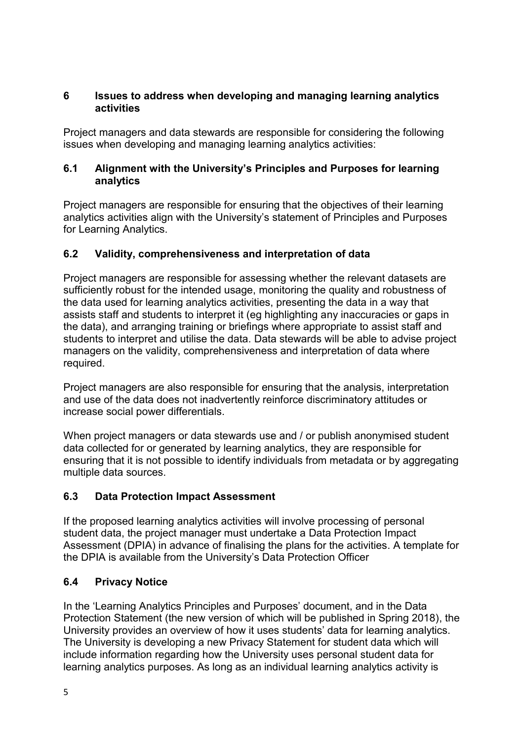## **6 Issues to address when developing and managing learning analytics activities**

Project managers and data stewards are responsible for considering the following issues when developing and managing learning analytics activities:

## **6.1 Alignment with the University's Principles and Purposes for learning analytics**

Project managers are responsible for ensuring that the objectives of their learning analytics activities align with the University's statement of Principles and Purposes for Learning Analytics.

## **6.2 Validity, comprehensiveness and interpretation of data**

Project managers are responsible for assessing whether the relevant datasets are sufficiently robust for the intended usage, monitoring the quality and robustness of the data used for learning analytics activities, presenting the data in a way that assists staff and students to interpret it (eg highlighting any inaccuracies or gaps in the data), and arranging training or briefings where appropriate to assist staff and students to interpret and utilise the data. Data stewards will be able to advise project managers on the validity, comprehensiveness and interpretation of data where required.

Project managers are also responsible for ensuring that the analysis, interpretation and use of the data does not inadvertently reinforce discriminatory attitudes or increase social power differentials.

When project managers or data stewards use and / or publish anonymised student data collected for or generated by learning analytics, they are responsible for ensuring that it is not possible to identify individuals from metadata or by aggregating multiple data sources.

## **6.3 Data Protection Impact Assessment**

If the proposed learning analytics activities will involve processing of personal student data, the project manager must undertake a Data Protection Impact Assessment (DPIA) in advance of finalising the plans for the activities. A template for the DPIA is available from the University's Data Protection Officer

## **6.4 Privacy Notice**

In the 'Learning Analytics Principles and Purposes' document, and in the Data Protection Statement (the new version of which will be published in Spring 2018), the University provides an overview of how it uses students' data for learning analytics. The University is developing a new Privacy Statement for student data which will include information regarding how the University uses personal student data for learning analytics purposes. As long as an individual learning analytics activity is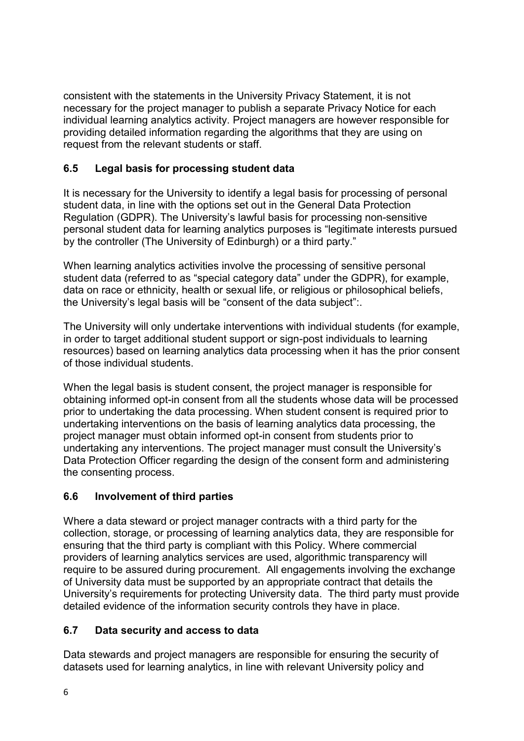consistent with the statements in the University Privacy Statement, it is not necessary for the project manager to publish a separate Privacy Notice for each individual learning analytics activity. Project managers are however responsible for providing detailed information regarding the algorithms that they are using on request from the relevant students or staff.

## **6.5 Legal basis for processing student data**

It is necessary for the University to identify a legal basis for processing of personal student data, in line with the options set out in the General Data Protection Regulation (GDPR). The University's lawful basis for processing non-sensitive personal student data for learning analytics purposes is "legitimate interests pursued by the controller (The University of Edinburgh) or a third party."

When learning analytics activities involve the processing of sensitive personal student data (referred to as "special category data" under the GDPR), for example, data on race or ethnicity, health or sexual life, or religious or philosophical beliefs, the University's legal basis will be "consent of the data subject":.

The University will only undertake interventions with individual students (for example, in order to target additional student support or sign-post individuals to learning resources) based on learning analytics data processing when it has the prior consent of those individual students.

When the legal basis is student consent, the project manager is responsible for obtaining informed opt-in consent from all the students whose data will be processed prior to undertaking the data processing. When student consent is required prior to undertaking interventions on the basis of learning analytics data processing, the project manager must obtain informed opt-in consent from students prior to undertaking any interventions. The project manager must consult the University's Data Protection Officer regarding the design of the consent form and administering the consenting process.

## **6.6 Involvement of third parties**

Where a data steward or project manager contracts with a third party for the collection, storage, or processing of learning analytics data, they are responsible for ensuring that the third party is compliant with this Policy. Where commercial providers of learning analytics services are used, algorithmic transparency will require to be assured during procurement. All engagements involving the exchange of University data must be supported by an appropriate contract that details the University's requirements for protecting University data. The third party must provide detailed evidence of the information security controls they have in place.

## **6.7 Data security and access to data**

Data stewards and project managers are responsible for ensuring the security of datasets used for learning analytics, in line with relevant University policy and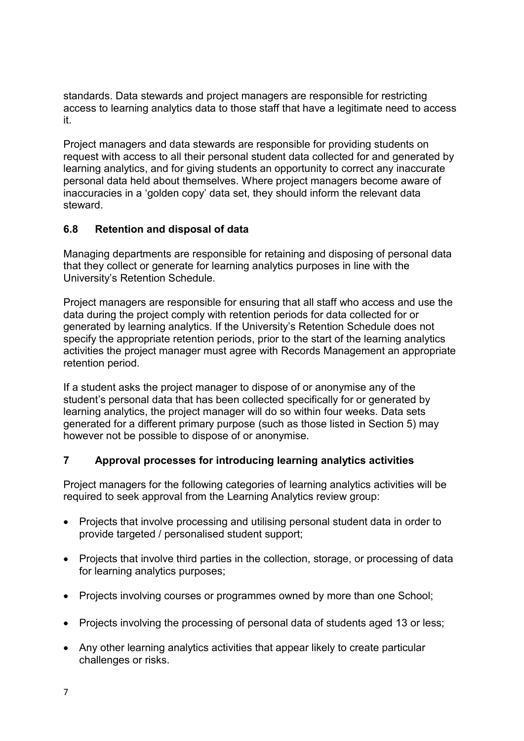standards. Data stewards and project managers are responsible for restricting access to learning analytics data to those staff that have a legitimate need to access it.

Project managers and data stewards are responsible for providing students on request with access to all their personal student data collected for and generated by learning analytics, and for giving students an opportunity to correct any inaccurate personal data held about themselves. Where project managers become aware of inaccuracies in a 'golden copy' data set, they should inform the relevant data steward.

## **6.8 Retention and disposal of data**

Managing departments are responsible for retaining and disposing of personal data that they collect or generate for learning analytics purposes in line with the University's Retention Schedule.

Project managers are responsible for ensuring that all staff who access and use the data during the project comply with retention periods for data collected for or generated by learning analytics. If the University's Retention Schedule does not specify the appropriate retention periods, prior to the start of the learning analytics activities the project manager must agree with Records Management an appropriate retention period.

If a student asks the project manager to dispose of or anonymise any of the student's personal data that has been collected specifically for or generated by learning analytics, the project manager will do so within four weeks. Data sets generated for a different primary purpose (such as those listed in Section 5) may however not be possible to dispose of or anonymise.

## **7 Approval processes for introducing learning analytics activities**

Project managers for the following categories of learning analytics activities will be required to seek approval from the Learning Analytics review group:

- Projects that involve processing and utilising personal student data in order to provide targeted / personalised student support;
- Projects that involve third parties in the collection, storage, or processing of data for learning analytics purposes;
- Projects involving courses or programmes owned by more than one School;
- Projects involving the processing of personal data of students aged 13 or less:
- Any other learning analytics activities that appear likely to create particular challenges or risks.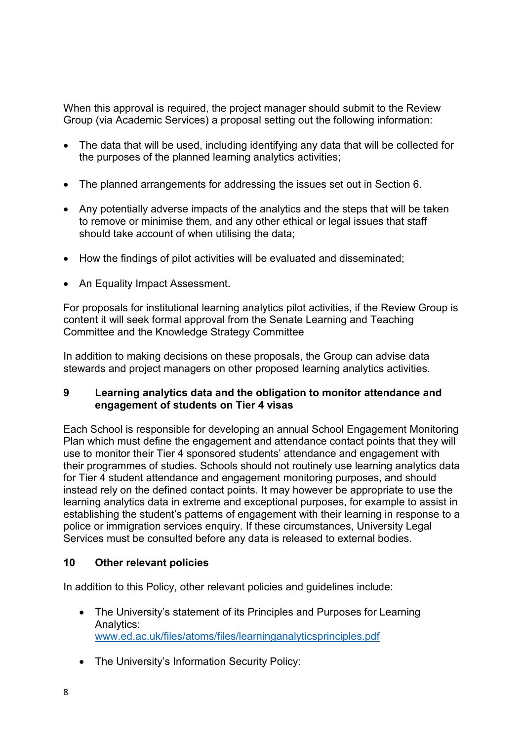When this approval is required, the project manager should submit to the Review Group (via Academic Services) a proposal setting out the following information:

- The data that will be used, including identifying any data that will be collected for the purposes of the planned learning analytics activities;
- The planned arrangements for addressing the issues set out in Section 6.
- Any potentially adverse impacts of the analytics and the steps that will be taken to remove or minimise them, and any other ethical or legal issues that staff should take account of when utilising the data;
- How the findings of pilot activities will be evaluated and disseminated;
- An Equality Impact Assessment.

For proposals for institutional learning analytics pilot activities, if the Review Group is content it will seek formal approval from the Senate Learning and Teaching Committee and the Knowledge Strategy Committee

In addition to making decisions on these proposals, the Group can advise data stewards and project managers on other proposed learning analytics activities.

## **9 Learning analytics data and the obligation to monitor attendance and engagement of students on Tier 4 visas**

Each School is responsible for developing an annual School Engagement Monitoring Plan which must define the engagement and attendance contact points that they will use to monitor their Tier 4 sponsored students' attendance and engagement with their programmes of studies. Schools should not routinely use learning analytics data for Tier 4 student attendance and engagement monitoring purposes, and should instead rely on the defined contact points. It may however be appropriate to use the learning analytics data in extreme and exceptional purposes, for example to assist in establishing the student's patterns of engagement with their learning in response to a police or immigration services enquiry. If these circumstances, University Legal Services must be consulted before any data is released to external bodies.

## **10 Other relevant policies**

In addition to this Policy, other relevant policies and guidelines include:

- The University's statement of its Principles and Purposes for Learning Analytics: [www.ed.ac.uk/files/atoms/files/learninganalyticsprinciples.pdf](http://www.ed.ac.uk/files/atoms/files/learninganalyticsprinciples.pdf)
- The University's Information Security Policy: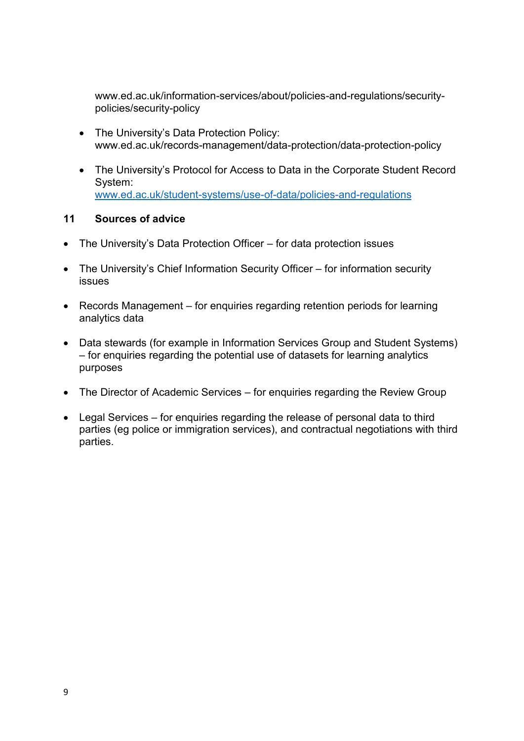www.ed.ac.uk/information-services/about/policies-and-regulations/securitypolicies/security-policy

- The University's Data Protection Policy: www.ed.ac.uk/records-management/data-protection/data-protection-policy
- The University's Protocol for Access to Data in the Corporate Student Record System: [www.ed.ac.uk/student-systems/use-of-data/policies-and-regulations](https://www.ed.ac.uk/student-systems/use-of-data/policies-and-regulations)

## **11 Sources of advice**

- The University's Data Protection Officer for data protection issues
- The University's Chief Information Security Officer for information security issues
- Records Management for enquiries regarding retention periods for learning analytics data
- Data stewards (for example in Information Services Group and Student Systems) – for enquiries regarding the potential use of datasets for learning analytics purposes
- The Director of Academic Services for enquiries regarding the Review Group
- Legal Services for enquiries regarding the release of personal data to third parties (eg police or immigration services), and contractual negotiations with third parties.